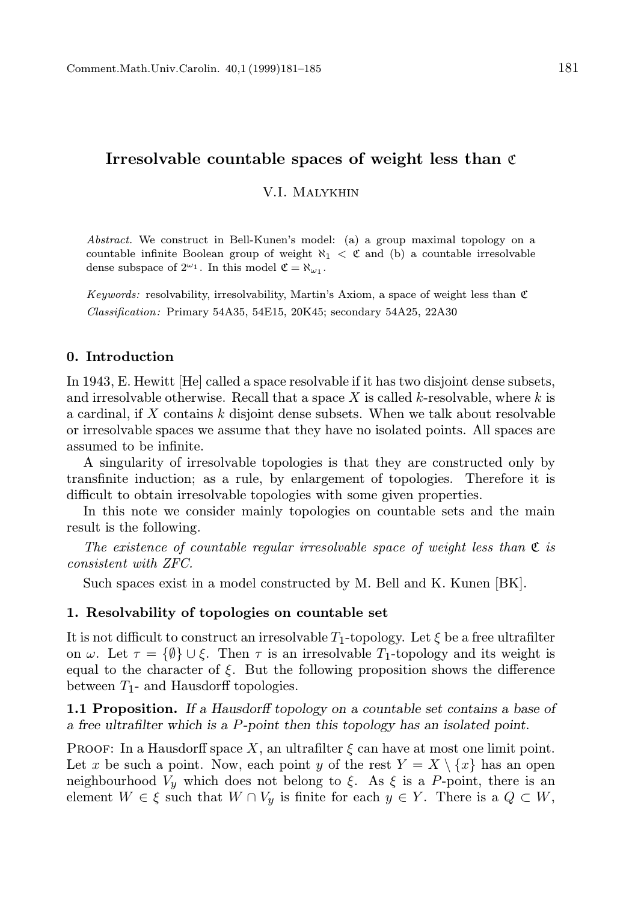## Irresolvable countable spaces of weight less than  $\mathfrak c$

V.I. Malykhin

Abstract. We construct in Bell-Kunen's model: (a) a group maximal topology on a countable infinite Boolean group of weight  $\aleph_1 < \mathfrak{C}$  and (b) a countable irresolvable dense subspace of  $2^{\omega_1}$ . In this model  $\mathfrak{C} = \aleph_{\omega_1}$ .

Keywords: resolvability, irresolvability, Martin's Axiom, a space of weight less than  $\mathfrak C$ Classification: Primary 54A35, 54E15, 20K45; secondary 54A25, 22A30

#### 0. Introduction

In 1943, E. Hewitt [He] called a space resolvable if it has two disjoint dense subsets, and irresolvable otherwise. Recall that a space X is called  $k$ -resolvable, where  $k$  is a cardinal, if X contains k disjoint dense subsets. When we talk about resolvable or irresolvable spaces we assume that they have no isolated points. All spaces are assumed to be infinite.

A singularity of irresolvable topologies is that they are constructed only by transfinite induction; as a rule, by enlargement of topologies. Therefore it is difficult to obtain irresolvable topologies with some given properties.

In this note we consider mainly topologies on countable sets and the main result is the following.

The existence of countable regular irresolvable space of weight less than  $\mathfrak C$  is consistent with ZFC.

Such spaces exist in a model constructed by M. Bell and K. Kunen [BK].

#### 1. Resolvability of topologies on countable set

It is not difficult to construct an irresolvable  $T_1$ -topology. Let  $\xi$  be a free ultrafilter on  $\omega$ . Let  $\tau = {\emptyset} \cup {\emptyset}$ . Then  $\tau$  is an irresolvable  $T_1$ -topology and its weight is equal to the character of  $\xi$ . But the following proposition shows the difference between  $T_1$ - and Hausdorff topologies.

1.1 Proposition. If a Hausdorff topology on a countable set contains a base of a free ultrafilter which is a P-point then this topology has an isolated point.

PROOF: In a Hausdorff space X, an ultrafilter  $\xi$  can have at most one limit point. Let x be such a point. Now, each point y of the rest  $Y = X \setminus \{x\}$  has an open neighbourhood  $V_y$  which does not belong to  $\xi$ . As  $\xi$  is a P-point, there is an element  $W \in \xi$  such that  $W \cap V_y$  is finite for each  $y \in Y$ . There is a  $Q \subset W$ ,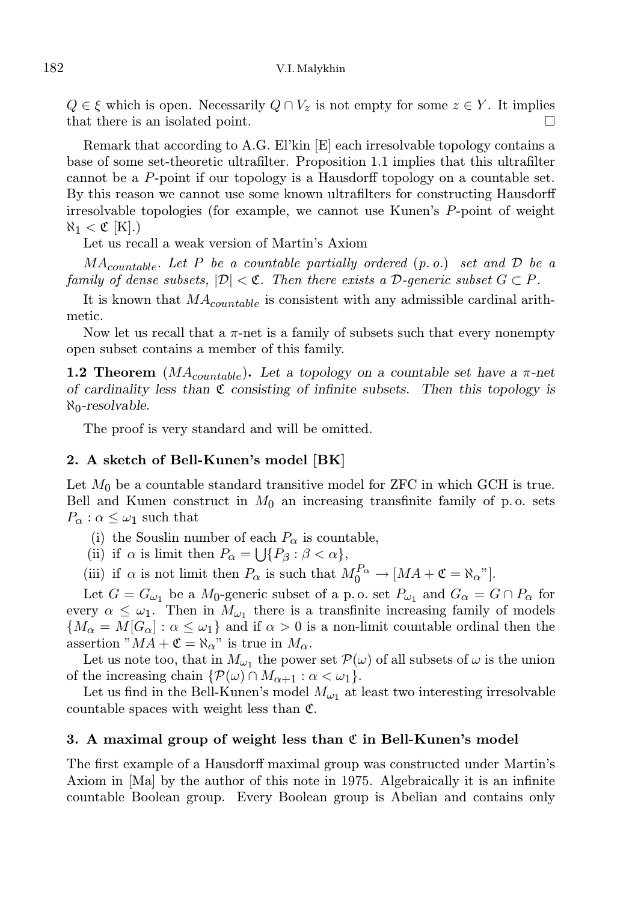$Q \in \xi$  which is open. Necessarily  $Q \cap V_z$  is not empty for some  $z \in Y$ . It implies that there is an isolated point.

Remark that according to A.G. El'kin [E] each irresolvable topology contains a base of some set-theoretic ultrafilter. Proposition 1.1 implies that this ultrafilter cannot be a P-point if our topology is a Hausdorff topology on a countable set. By this reason we cannot use some known ultrafilters for constructing Hausdorff irresolvable topologies (for example, we cannot use Kunen's P-point of weight  $\aleph_1 < \mathfrak{C}$  [K].)

Let us recall a weak version of Martin's Axiom

 $MA_{countable}$ . Let P be a countable partially ordered  $(p. o.)$  set and  $D$  be a family of dense subsets,  $|\mathcal{D}| < \mathfrak{C}$ . Then there exists a D-generic subset  $G \subset P$ .

It is known that  $MA_{countable}$  is consistent with any admissible cardinal arithmetic.

Now let us recall that a  $\pi$ -net is a family of subsets such that every nonempty open subset contains a member of this family.

**1.2 Theorem** ( $MA_{countable}$ ). Let a topology on a countable set have a  $\pi$ -net of cardinality less than  $\mathfrak C$  consisting of infinite subsets. Then this topology is  $\aleph_0$ -resolvable.

The proof is very standard and will be omitted.

#### 2. A sketch of Bell-Kunen's model [BK]

Let  $M_0$  be a countable standard transitive model for ZFC in which GCH is true. Bell and Kunen construct in  $M_0$  an increasing transfinite family of p.o. sets  $P_{\alpha}$  :  $\alpha \leq \omega_1$  such that

- (i) the Souslin number of each  $P_{\alpha}$  is countable,
- (ii) if  $\alpha$  is limit then  $P_{\alpha} = \bigcup \{ P_{\beta} : \beta < \alpha \},\$

(iii) if  $\alpha$  is not limit then  $P_{\alpha}$  is such that  $M_0^{P_{\alpha}} \to [MA + \mathfrak{C} = \aleph_{\alpha}$ "].

Let  $G = G_{\omega_1}$  be a  $M_0$ -generic subset of a p.o. set  $P_{\omega_1}$  and  $G_{\alpha} = G \cap P_{\alpha}$  for every  $\alpha \leq \omega_1$ . Then in  $M_{\omega_1}$  there is a transfinite increasing family of models  ${M_\alpha = M[G_\alpha]: \alpha \leq \omega_1}$  and if  $\alpha > 0$  is a non-limit countable ordinal then the assertion " $MA + \mathfrak{C} = \aleph_{\alpha}$ " is true in  $M_{\alpha}$ .

Let us note too, that in  $M_{\omega_1}$  the power set  $\mathcal{P}(\omega)$  of all subsets of  $\omega$  is the union of the increasing chain  $\{P(\omega) \cap M_{\alpha+1} : \alpha < \omega_1\}.$ 

Let us find in the Bell-Kunen's model  $M_{\omega_1}$  at least two interesting irresolvable countable spaces with weight less than C.

### 3. A maximal group of weight less than  $\mathfrak C$  in Bell-Kunen's model

The first example of a Hausdorff maximal group was constructed under Martin's Axiom in [Ma] by the author of this note in 1975. Algebraically it is an infinite countable Boolean group. Every Boolean group is Abelian and contains only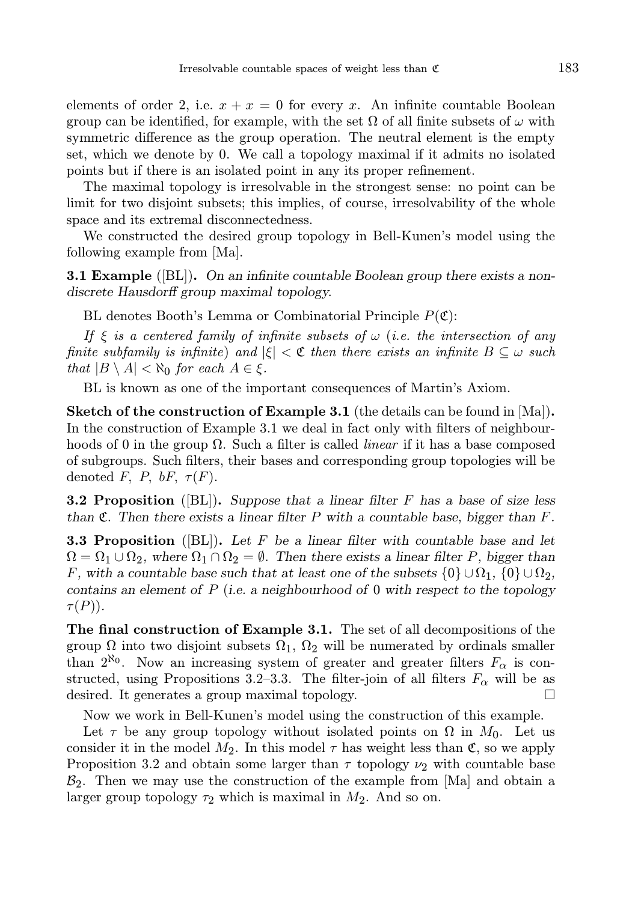elements of order 2, i.e.  $x + x = 0$  for every x. An infinite countable Boolean group can be identified, for example, with the set  $\Omega$  of all finite subsets of  $\omega$  with symmetric difference as the group operation. The neutral element is the empty set, which we denote by 0. We call a topology maximal if it admits no isolated points but if there is an isolated point in any its proper refinement.

The maximal topology is irresolvable in the strongest sense: no point can be limit for two disjoint subsets; this implies, of course, irresolvability of the whole space and its extremal disconnectedness.

We constructed the desired group topology in Bell-Kunen's model using the following example from [Ma].

**3.1 Example** ( $|BL|$ ). On an infinite countable Boolean group there exists a nondiscrete Hausdorff group maximal topology.

BL denotes Booth's Lemma or Combinatorial Principle  $P(\mathfrak{C})$ :

If  $\xi$  is a centered family of infinite subsets of  $\omega$  (i.e. the intersection of any finite subfamily is infinite) and  $|\xi| < \mathfrak{C}$  then there exists an infinite  $B \subseteq \omega$  such that  $|B \setminus A| < \aleph_0$  for each  $A \in \xi$ .

BL is known as one of the important consequences of Martin's Axiom.

Sketch of the construction of Example 3.1 (the details can be found in [Ma]). In the construction of Example 3.1 we deal in fact only with filters of neighbourhoods of 0 in the group  $\Omega$ . Such a filter is called *linear* if it has a base composed of subgroups. Such filters, their bases and corresponding group topologies will be denoted F, P, bF,  $\tau(F)$ .

**3.2 Proposition** ([BL]). Suppose that a linear filter F has a base of size less than  $\mathfrak{C}$ . Then there exists a linear filter P with a countable base, bigger than F.

**3.3 Proposition** ([BL]). Let F be a linear filter with countable base and let  $\Omega = \Omega_1 \cup \Omega_2$ , where  $\Omega_1 \cap \Omega_2 = \emptyset$ . Then there exists a linear filter P, bigger than F, with a countable base such that at least one of the subsets  $\{0\} \cup \Omega_1$ ,  $\{0\} \cup \Omega_2$ , contains an element of  $P$  (i.e. a neighbourhood of 0 with respect to the topology  $\tau(P)$ ).

The final construction of Example 3.1. The set of all decompositions of the group  $\Omega$  into two disjoint subsets  $\Omega_1$ ,  $\Omega_2$  will be numerated by ordinals smaller than  $2^{\aleph_0}$ . Now an increasing system of greater and greater filters  $F_\alpha$  is constructed, using Propositions 3.2–3.3. The filter-join of all filters  $F_{\alpha}$  will be as desired. It generates a group maximal topology.

Now we work in Bell-Kunen's model using the construction of this example.

Let  $\tau$  be any group topology without isolated points on  $\Omega$  in  $M_0$ . Let us consider it in the model  $M_2$ . In this model  $\tau$  has weight less than  $\mathfrak{C}$ , so we apply Proposition 3.2 and obtain some larger than  $\tau$  topology  $\nu_2$  with countable base  $\mathcal{B}_2$ . Then we may use the construction of the example from  $|\text{Ma}|$  and obtain a larger group topology  $\tau_2$  which is maximal in  $M_2$ . And so on.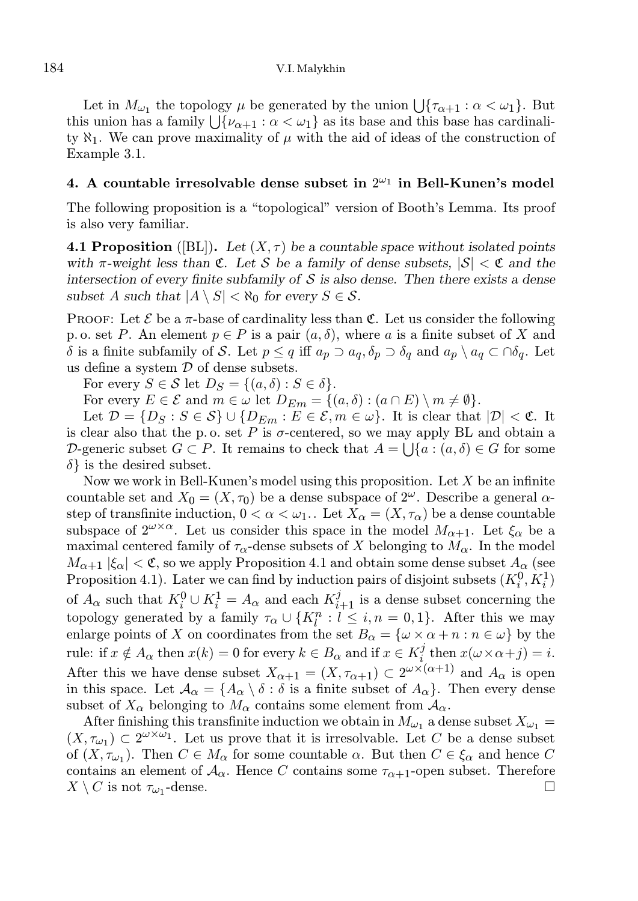Let in  $M_{\omega_1}$  the topology  $\mu$  be generated by the union  $\bigcup \{\tau_{\alpha+1} : \alpha < \omega_1\}$ . But this union has a family  $\bigcup \{\nu_{\alpha+1} : \alpha < \omega_1\}$  as its base and this base has cardinality  $\aleph_1$ . We can prove maximality of  $\mu$  with the aid of ideas of the construction of Example 3.1.

## 4. A countable irresolvable dense subset in  $2^{\omega_1}$  in Bell-Kunen's model

The following proposition is a "topological" version of Booth's Lemma. Its proof is also very familiar.

**4.1 Proposition** ([BL]). Let  $(X, \tau)$  be a countable space without isolated points with  $\pi$ -weight less than  $\mathfrak{C}$ . Let S be a family of dense subsets,  $|\mathcal{S}| < \mathfrak{C}$  and the intersection of every finite subfamily of  $\mathcal S$  is also dense. Then there exists a dense subset A such that  $|A \setminus S| < \aleph_0$  for every  $S \in \mathcal{S}$ .

PROOF: Let  $\mathcal E$  be a  $\pi$ -base of cardinality less than  $\mathfrak C$ . Let us consider the following p. o. set P. An element  $p \in P$  is a pair  $(a, \delta)$ , where a is a finite subset of X and δ is a finite subfamily of S. Let  $p ≤ q$  iff  $a_p ∋ a_q$ ,  $δ_p ∋ δ_q$  and  $a_p ∖ a_q ⊂ ∩ δ_q$ . Let us define a system  $D$  of dense subsets.

For every  $S \in \mathcal{S}$  let  $D_S = \{(a, \delta) : S \in \delta\}.$ 

For every  $E \in \mathcal{E}$  and  $m \in \omega$  let  $D_{Em} = \{(a, \delta) : (a \cap E) \setminus m \neq \emptyset\}.$ 

Let  $\mathcal{D} = \{D_S : S \in \mathcal{S}\} \cup \{D_{Em} : E \in \mathcal{E}, m \in \omega\}$ . It is clear that  $|\mathcal{D}| < \mathfrak{C}$ . It is clear also that the p.o. set P is  $\sigma$ -centered, so we may apply BL and obtain a D-generic subset  $G \subset P$ . It remains to check that  $A = \bigcup \{a : (a, \delta) \in G \text{ for some } \delta \}$  $\delta$  is the desired subset.

Now we work in Bell-Kunen's model using this proposition. Let  $X$  be an infinite countable set and  $X_0 = (X, \tau_0)$  be a dense subspace of  $2^{\omega}$ . Describe a general  $\alpha$ step of transfinite induction,  $0 < \alpha < \omega_1$ . Let  $X_\alpha = (X, \tau_\alpha)$  be a dense countable subspace of  $2^{\omega \times \alpha}$ . Let us consider this space in the model  $M_{\alpha+1}$ . Let  $\xi_{\alpha}$  be a maximal centered family of  $\tau_{\alpha}$ -dense subsets of X belonging to  $M_{\alpha}$ . In the model  $M_{\alpha+1}$  | $\xi_{\alpha}$ |  $\lt$  C, so we apply Proposition 4.1 and obtain some dense subset  $A_{\alpha}$  (see Proposition 4.1). Later we can find by induction pairs of disjoint subsets  $(K_i^0, K_i^1)$ of  $A_{\alpha}$  such that  $K_i^0 \cup K_i^1 = A_{\alpha}$  and each  $K_{i+1}^j$  is a dense subset concerning the topology generated by a family  $\tau_{\alpha} \cup \{K_l^n : l \leq i, n = 0, 1\}$ . After this we may enlarge points of X on coordinates from the set  $B_{\alpha} = {\omega \times \alpha + n : n \in \omega}$  by the rule: if  $x \notin A_{\alpha}$  then  $x(k) = 0$  for every  $k \in B_{\alpha}$  and if  $x \in K_i^j$  $i \text{ then } x(\omega \times \alpha + j) = i.$ After this we have dense subset  $X_{\alpha+1} = (X, \tau_{\alpha+1}) \subset 2^{\omega \times (\alpha+1)}$  and  $A_{\alpha}$  is open in this space. Let  $\mathcal{A}_{\alpha} = \{A_{\alpha} \setminus \delta : \delta \text{ is a finite subset of } A_{\alpha} \}.$  Then every dense subset of  $X_\alpha$  belonging to  $M_\alpha$  contains some element from  $A_\alpha$ .

After finishing this transfinite induction we obtain in  $M_{\omega_1}$  a dense subset  $X_{\omega_1} =$  $(X, \tau_{\omega_1}) \subset 2^{\omega \times \omega_1}$ . Let us prove that it is irresolvable. Let C be a dense subset of  $(X, \tau_{\omega_1})$ . Then  $C \in M_\alpha$  for some countable  $\alpha$ . But then  $C \in \xi_\alpha$  and hence C contains an element of  $\mathcal{A}_{\alpha}$ . Hence C contains some  $\tau_{\alpha+1}$ -open subset. Therefore  $X \setminus C$  is not  $\tau_{\omega_1}$ -dense. -dense.